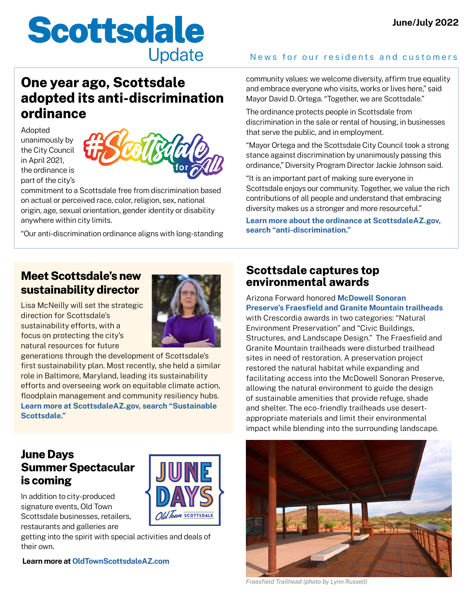# **Scottsdale Update**

# **One year ago, Scottsdale adopted its anti-discrimination ordinance**

Adopted unanimously by the City Council in April 2021, the ordinance is part of the city's



commitment to a Scottsdale free from discrimination based on actual or perceived race, color, religion, sex, national origin, age, sexual orientation, gender identity or disability anywhere within city limits.

"Our anti-discrimination ordinance aligns with long-standing

#### **Meet Scottsdale's new sustainability director**

Lisa McNeilly will set the strategic direction for Scottsdale's sustainability efforts, with a focus on protecting the city's natural resources for future



generations through the development of Scottsdale's first sustainability plan. Most recently, she held a similar role in Baltimore, Maryland, leading its sustainability efforts and overseeing work on equitable climate action, floodplain management and community resiliency hubs. **[Learn more at ScottsdaleAZ.gov, search "Sustainable](https://www.scottsdaleaz.gov/sustainable-scottsdale)  [Scottsdale."](https://www.scottsdaleaz.gov/sustainable-scottsdale)**

#### **June Days Summer Spectacular is coming**

In addition to city-produced signature events, Old Town Scottsdale businesses, retailers, restaurants and galleries are

getting into the spirit with special activities and deals of their own.

 **Learn more at [OldTownScottsdaleAZ.com](http://OldTownScottsdaleAZ.com)**

#### News for our residents and customers

community values: we welcome diversity, affirm true equality and embrace everyone who visits, works or lives here," said Mayor David D. Ortega. "Together, we are Scottsdale."

The ordinance protects people in Scottsdale from discrimination in the sale or rental of housing, in businesses that serve the public, and in employment.

"Mayor Ortega and the Scottsdale City Council took a strong stance against discrimination by unanimously passing this ordinance," Diversity Program Director Jackie Johnson said.

"It is an important part of making sure everyone in Scottsdale enjoys our community. Together, we value the rich contributions of all people and understand that embracing diversity makes us a stronger and more resourceful."

**[Learn more about the ordinance at ScottsdaleAZ.gov,](https://www.scottsdaleaz.gov/codes/anti-discrimination-ordinance)  [search "anti-discrimination."](https://www.scottsdaleaz.gov/codes/anti-discrimination-ordinance)**

#### **Scottsdale captures top environmental awards**

Arizona Forward honored **[McDowell Sonoran](https://www.scottsdaleaz.gov/preserve)  [Preserve's Fraesfield and Granite Mountain trailheads](https://www.scottsdaleaz.gov/preserve)** with Crescordia awards in two categories: "Natural Environment Preservation" and "Civic Buildings, Structures, and Landscape Design." The Fraesfield and Granite Mountain trailheads were disturbed trailhead sites in need of restoration. A preservation project restored the natural habitat while expanding and facilitating access into the McDowell Sonoran Preserve, allowing the natural environment to guide the design of sustainable amenities that provide refuge, shade and shelter. The eco-friendly trailheads use desertappropriate materials and limit their environmental impact while blending into the surrounding landscape.



*Fraesfield Trailhead (photo by Lynn Russell)*